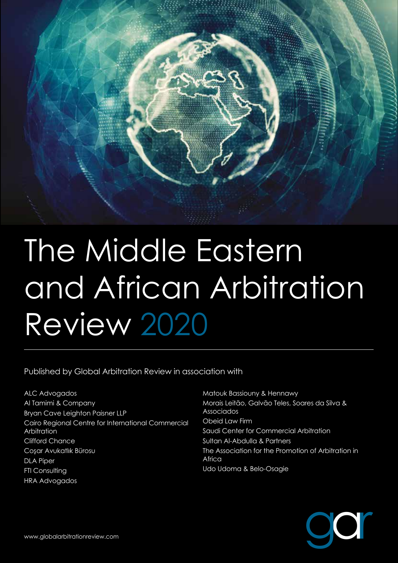

Published by Global Arbitration Review in association with

ALC Advogados Al Tamimi & Company Bryan Cave Leighton Paisner LLP Cairo Regional Centre for International Commercial Arbitration Clifford Chance Cosar Avukatlık Bürosu DLA Piper **FTI Consulting** HRA Advogados

Matouk Bassiouny & Hennawy Morais Leitão, Galvão Teles, Soares da Silva & Associados Obeid Law Firm Saudi Center for Commercial Arbitration Sultan Al-Abdulla & Partners The Association for the Promotion of Arbitration in Africa Udo Udoma & Belo-Osagie

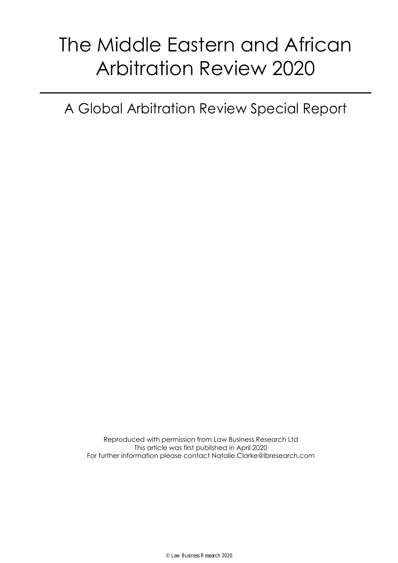A Global Arbitration Review Special Report

Reproduced with permission from Law Business Research Ltd This article was first published in April 2020 For further information please contact Natalie.Clarke@lbresearch.com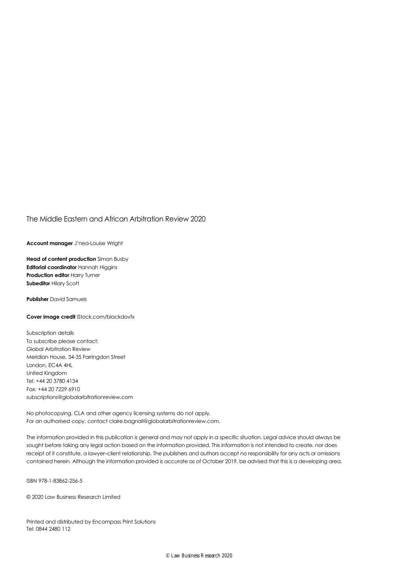**Account manager** J'nea-Louise Wright

**Head of content production** Simon Busby **Editorial coordinator** Hannah Higgins **Production editor** Harry Turner **Subeditor** Hilary Scott

**Publisher** David Samuels

**Cover image credit** iStock.com/blackdovfx

Subscription details To subscribe please contact: Global Arbitration Review Meridian House, 34-35 Farringdon Street London, EC4A 4HL United Kingdom Tel: +44 20 3780 4134 Fax: +44 20 7229 6910 subscriptions@globalarbitrationreview.com

No photocopying. CLA and other agency licensing systems do not apply. For an authorised copy, contact claire.bagnall@globalarbitrationreview.com.

The information provided in this publication is general and may not apply in a specific situation. Legal advice should always be sought before taking any legal action based on the information provided. This information is not intended to create, nor does receipt of it constitute, a lawyer–client relationship. The publishers and authors accept no responsibility for any acts or omissions contained herein. Although the information provided is accurate as of October 2019, be advised that this is a developing area.

ISBN 978-1-83862-256-5

© 2020 Law Business Research Limited

Printed and distributed by Encompass Print Solutions Tel: 0844 2480 112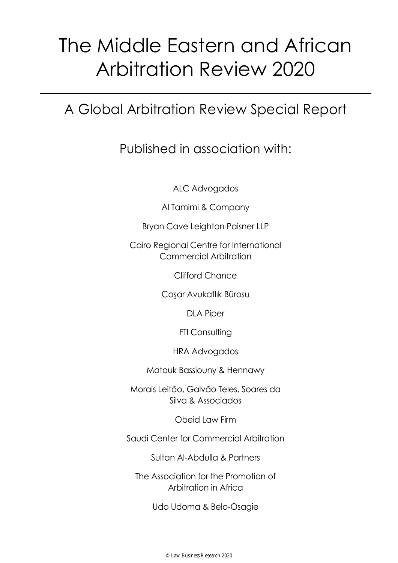## A Global Arbitration Review Special Report

### Published in association with:

ALC Advogados

Al Tamimi & Company

Bryan Cave Leighton Paisner LLP

Cairo Regional Centre for International Commercial Arbitration

Clifford Chance

Cos¸ar Avukatlık Bürosu

DLA Piper

FTI Consulting

HRA Advogados

Matouk Bassiouny & Hennawy

Morais Leitão, Galvão Teles, Soares da Silva & Associados

Obeid Law Firm

Saudi Center for Commercial Arbitration

Sultan Al-Abdulla & Partners

The Association for the Promotion of Arbitration in Africa

Udo Udoma & Belo-Osagie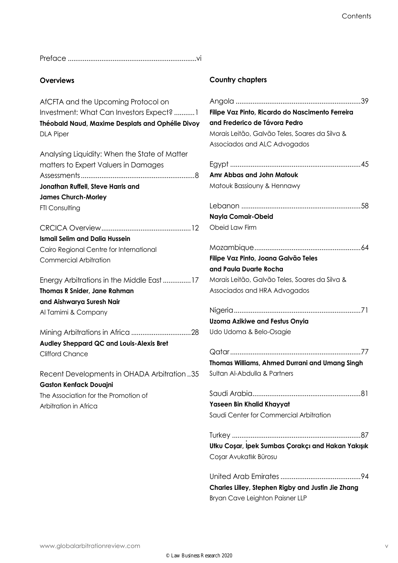Preface .....................................................................vi

#### **Overviews**

AfCFTA and the Upcoming Protocol on Investment: What Can Investors Expect? ...........1 **Théobald Naud, Maxime Desplats and Ophélie Divoy** DLA Piper

Analysing Liquidity: When the State of Matter matters to Expert Valuers in Damages Assessments.............................................................8 **Jonathan Ruffell, Steve Harris and James Church-Morley** FTI Consulting

CRCICA Overview................................................12 **Ismail Selim and Dalia Hussein** Cairo Regional Centre for International Commercial Arbitration

Energy Arbitrations in the Middle East...............17 **Thomas R Snider, Jane Rahman and Aishwarya Suresh Nair** Al Tamimi & Company

Mining Arbitrations in Africa ................................28 **Audley Sheppard QC and Louis-Alexis Bret** Clifford Chance

Recent Developments in OHADA Arbitration ..35 **Gaston Kenfack Douajni** The Association for the Promotion of Arbitration in Africa

#### **Country chapters**

| Filipe Vaz Pinto, Ricardo do Nascimento Ferreira   |
|----------------------------------------------------|
| and Frederico de Távora Pedro                      |
| Morais Leitão, Galvão Teles, Soares da Silva &     |
| Associados and ALC Advogados                       |
|                                                    |
| Amr Abbas and John Matouk                          |
|                                                    |
| Matouk Bassiouny & Hennawy                         |
|                                                    |
| Nayla Comair-Obeid                                 |
| Obeid Law Firm                                     |
|                                                    |
| Filipe Vaz Pinto, Joana Galvão Teles               |
| and Paula Duarte Rocha                             |
| Morais Leitão, Galvão Teles, Soares da Silva &     |
| Associados and HRA Advogados                       |
|                                                    |
|                                                    |
| <b>Uzoma Azikiwe and Festus Onyia</b>              |
| Udo Udoma & Belo-Osagie                            |
|                                                    |
| Thomas Williams, Ahmed Durrani and Umang Singh     |
| Sultan Al-Abdulla & Partners                       |
|                                                    |
| Saudi Arabia<br>81                                 |
| Yaseen Bin Khalid Khayyat                          |
| Saudi Center for Commercial Arbitration            |
|                                                    |
| Ułku Coşar, Ipek Sumbas Çorakçı and Hakan Yakışık  |
| Coşar Avukatlık Bürosu                             |
|                                                    |
|                                                    |
| Charles Lilley, Stephen Rigby and Justin Jie Zhang |

Bryan Cave Leighton Paisner LLP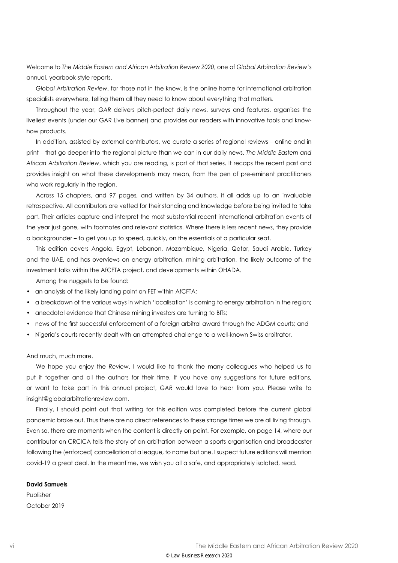Welcome to *The Middle Eastern and African Arbitration Review 2020*, one of *Global Arbitration Review*'s annual, yearbook-style reports.

*Global Arbitration Review*, for those not in the know, is the online home for international arbitration specialists everywhere, telling them all they need to know about everything that matters.

Throughout the year, *GAR* delivers pitch-perfect daily news, surveys and features, organises the liveliest events (under our GAR Live banner) and provides our readers with innovative tools and knowhow products.

In addition, assisted by external contributors, we curate a series of regional reviews - online and in print – that go deeper into the regional picture than we can in our daily news. *The Middle Eastern and African Arbitration Review*, which you are reading, is part of that series. It recaps the recent past and provides insight on what these developments may mean, from the pen of pre-eminent practitioners who work regularly in the region.

Across 15 chapters, and 97 pages, and written by 34 authors, it all adds up to an invaluable retrospective. All contributors are vetted for their standing and knowledge before being invited to take part. Their articles capture and interpret the most substantial recent international arbitration events of the year just gone, with footnotes and relevant statistics. Where there is less recent news, they provide a backgrounder – to get you up to speed, quickly, on the essentials of a particular seat.

This edition covers Angola, Egypt, Lebanon, Mozambique, Nigeria, Qatar, Saudi Arabia, Turkey and the UAE, and has overviews on energy arbitration, mining arbitration, the likely outcome of the investment talks within the AfCFTA project, and developments within OHADA.

Among the nuggets to be found:

- an analysis of the likely landing point on FET within AfCFTA;
- a breakdown of the various ways in which 'localisation' is coming to energy arbitration in the region;
- anecdotal evidence that Chinese mining investors are turning to BITs;
- news of the first successful enforcement of a foreign arbitral award through the ADGM courts; and
- Nigeria's courts recently dealt with an attempted challenge to a well-known Swiss arbitrator.

And much, much more.

We hope you enjoy the *Review*. I would like to thank the many colleagues who helped us to put it together and all the authors for their time. If you have any suggestions for future editions, or want to take part in this annual project, *GAR* would love to hear from you. Please write to insight@globalarbitrationreview.com.

Finally, I should point out that writing for this edition was completed before the current global pandemic broke out. Thus there are no direct references to these strange times we are all living through. Even so, there are moments when the content is directly on point. For example, on page 14, where our contributor on CRCICA tells the story of an arbitration between a sports organisation and broadcaster following the (enforced) cancellation of a league, to name but one. I suspect future editions will mention covid-19 a great deal. In the meantime, we wish you all a safe, and appropriately isolated, read.

#### **David Samuels**

Publisher October 2019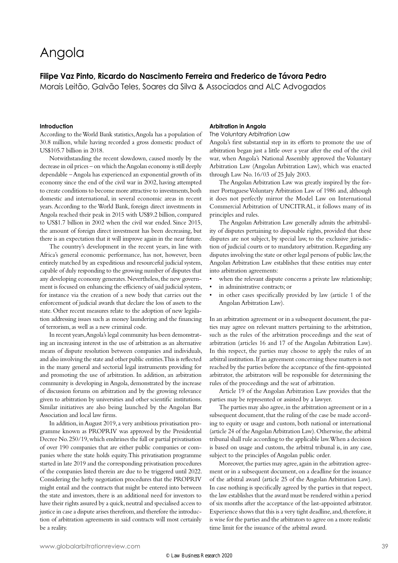### Angola

#### **Filipe Vaz Pinto, Ricardo do Nascimento Ferreira and Frederico de Távora Pedro**

Morais Leitão, Galvão Teles, Soares da Silva & Associados and ALC Advogados

#### **Introduction**

According to the World Bank statistics, Angola has a population of 30.8 million, while having recorded a gross domestic product of US\$105.7 billion in 2018.

Notwithstanding the recent slowdown, caused mostly by the decrease in oil prices – on which the Angolan economy is still deeply dependable – Angola has experienced an exponential growth of its economy since the end of the civil war in 2002, having attempted to create conditions to become more attractive to investments, both domestic and international, in several economic areas in recent years. According to the World Bank, foreign direct investments in Angola reached their peak in 2015 with US\$9.2 billion, compared to US\$1.7 billion in 2002 when the civil war ended. Since 2015, the amount of foreign direct investment has been decreasing, but there is an expectation that it will improve again in the near future.

The country's development in the recent years, in line with Africa's general economic performance, has not, however, been entirely matched by an expeditious and resourceful judicial system, capable of duly responding to the growing number of disputes that any developing economy generates. Nevertheless, the new government is focused on enhancing the efficiency of said judicial system, for instance via the creation of a new body that carries out the enforcement of judicial awards that declare the loss of assets to the state. Other recent measures relate to the adoption of new legislation addressing issues such as money laundering and the financing of terrorism, as well as a new criminal code.

In recent years, Angola's legal community has been demonstrating an increasing interest in the use of arbitration as an alternative means of dispute resolution between companies and individuals, and also involving the state and other public entities. This is reflected in the many general and sectorial legal instruments providing for and promoting the use of arbitration. In addition, an arbitration community is developing in Angola, demonstrated by the increase of discussion forums on arbitration and by the growing relevance given to arbitration by universities and other scientific institutions. Similar initiatives are also being launched by the Angolan Bar Association and local law firms.

In addition, in August 2019, a very ambitious privatisation programme known as PROPRIV was approved by the Presidential Decree No. 250/19, which enshrines the full or partial privatisation of over 190 companies that are either public companies or companies where the state holds equity. This privatisation programme started in late 2019 and the corresponding privatisation procedures of the companies listed therein are due to be triggered until 2022. Considering the hefty negotiation procedures that the PROPRIV might entail and the contracts that might be entered into between the state and investors, there is an additional need for investors to have their rights assured by a quick, neutral and specialised access to justice in case a dispute arises therefrom, and therefore the introduction of arbitration agreements in said contracts will most certainly be a reality.

#### **Arbitration in Angola**

The Voluntary Arbitration Law

Angola's first substantial step in its efforts to promote the use of arbitration began just a little over a year after the end of the civil war, when Angola's National Assembly approved the Voluntary Arbitration Law (Angolan Arbitration Law), which was enacted through Law No. 16/03 of 25 July 2003.

The Angolan Arbitration Law was greatly inspired by the former Portuguese Voluntary Arbitration Law of 1986 and, although it does not perfectly mirror the Model Law on International Commercial Arbitration of UNCITRAL, it follows many of its principles and rules.

The Angolan Arbitration Law generally admits the arbitrability of disputes pertaining to disposable rights, provided that these disputes are not subject, by special law, to the exclusive jurisdiction of judicial courts or to mandatory arbitration. Regarding any disputes involving the state or other legal persons of public law, the Angolan Arbitration Law establishes that these entities may enter into arbitration agreements:

- when the relevant dispute concerns a private law relationship;
- in administrative contracts; or
- in other cases specifically provided by law (article 1 of the Angolan Arbitration Law).

In an arbitration agreement or in a subsequent document, the parties may agree on relevant matters pertaining to the arbitration, such as the rules of the arbitration proceedings and the seat of arbitration (articles 16 and 17 of the Angolan Arbitration Law). In this respect, the parties may choose to apply the rules of an arbitral institution. If an agreement concerning these matters is not reached by the parties before the acceptance of the first-appointed arbitrator, the arbitrators will be responsible for determining the rules of the proceedings and the seat of arbitration.

Article 19 of the Angolan Arbitration Law provides that the parties may be represented or assisted by a lawyer.

The parties may also agree, in the arbitration agreement or in a subsequent document, that the ruling of the case be made according to equity or usage and custom, both national or international (article 24 of the Angolan Arbitration Law). Otherwise, the arbitral tribunal shall rule according to the applicable law. When a decision is based on usage and custom, the arbitral tribunal is, in any case, subject to the principles of Angolan public order.

Moreover, the parties may agree, again in the arbitration agreement or in a subsequent document, on a deadline for the issuance of the arbitral award (article 25 of the Angolan Arbitration Law). In case nothing is specifically agreed by the parties in that respect, the law establishes that the award must be rendered within a period of six months after the acceptance of the last-appointed arbitrator. Experience shows that this is a very tight deadline, and, therefore, it is wise for the parties and the arbitrators to agree on a more realistic time limit for the issuance of the arbitral award.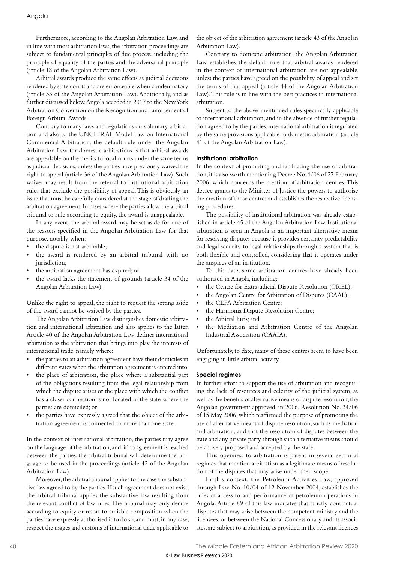Furthermore, according to the Angolan Arbitration Law, and in line with most arbitration laws, the arbitration proceedings are subject to fundamental principles of due process, including the principle of equality of the parties and the adversarial principle (article 18 of the Angolan Arbitration Law).

Arbitral awards produce the same effects as judicial decisions rendered by state courts and are enforceable when condemnatory (article 33 of the Angolan Arbitration Law). Additionally, and as further discussed below, Angola acceded in 2017 to the New York Arbitration Convention on the Recognition and Enforcement of Foreign Arbitral Awards.

Contrary to many laws and regulations on voluntary arbitration and also to the UNCITRAL Model Law on International Commercial Arbitration, the default rule under the Angolan Arbitration Law for domestic arbitrations is that arbitral awards are appealable on the merits to local courts under the same terms as judicial decisions, unless the parties have previously waived the right to appeal (article 36 of the Angolan Arbitration Law). Such waiver may result from the referral to institutional arbitration rules that exclude the possibility of appeal. This is obviously an issue that must be carefully considered at the stage of drafting the arbitration agreement. In cases where the parties allow the arbitral tribunal to rule according to equity, the award is unappealable.

In any event, the arbitral award may be set aside for one of the reasons specified in the Angolan Arbitration Law for that purpose, notably when:

- the dispute is not arbitrable;
- the award is rendered by an arbitral tribunal with no jurisdiction;
- the arbitration agreement has expired; or
- the award lacks the statement of grounds (article 34 of the Angolan Arbitration Law).

Unlike the right to appeal, the right to request the setting aside of the award cannot be waived by the parties.

The Angolan Arbitration Law distinguishes domestic arbitration and international arbitration and also applies to the latter. Article 40 of the Angolan Arbitration Law defines international arbitration as the arbitration that brings into play the interests of international trade, namely where:

- the parties to an arbitration agreement have their domiciles in different states when the arbitration agreement is entered into;
- the place of arbitration, the place where a substantial part of the obligations resulting from the legal relationship from which the dispute arises or the place with which the conflict has a closer connection is not located in the state where the parties are domiciled; or
- the parties have expressly agreed that the object of the arbitration agreement is connected to more than one state.

In the context of international arbitration, the parties may agree on the language of the arbitration, and, if no agreement is reached between the parties, the arbitral tribunal will determine the language to be used in the proceedings (article 42 of the Angolan Arbitration Law).

Moreover, the arbitral tribunal applies to the case the substantive law agreed to by the parties. If such agreement does not exist, the arbitral tribunal applies the substantive law resulting from the relevant conflict of law rules. The tribunal may only decide according to equity or resort to amiable composition when the parties have expressly authorised it to do so, and must, in any case, respect the usages and customs of international trade applicable to

the object of the arbitration agreement (article 43 of the Angolan Arbitration Law).

Contrary to domestic arbitration, the Angolan Arbitration Law establishes the default rule that arbitral awards rendered in the context of international arbitration are not appealable, unless the parties have agreed on the possibility of appeal and set the terms of that appeal (article 44 of the Angolan Arbitration Law). This rule is in line with the best practices in international arbitration.

Subject to the above-mentioned rules specifically applicable to international arbitration, and in the absence of further regulation agreed to by the parties, international arbitration is regulated by the same provisions applicable to domestic arbitration (article 41 of the Angolan Arbitration Law).

#### **Institutional arbitration**

In the context of promoting and facilitating the use of arbitration, it is also worth mentioning Decree No. 4/06 of 27 February 2006, which concerns the creation of arbitration centres. This decree grants to the Minister of Justice the powers to authorise the creation of those centres and establishes the respective licensing procedures.

The possibility of institutional arbitration was already established in article 45 of the Angolan Arbitration Law. Institutional arbitration is seen in Angola as an important alternative means for resolving disputes because it provides certainty, predictability and legal security to legal relationships through a system that is both flexible and controlled, considering that it operates under the auspices of an institution.

To this date, some arbitration centres have already been authorised in Angola, including:

- the Centre for Extrajudicial Dispute Resolution (CREL);
- the Angolan Centre for Arbitration of Disputes (CAAL);
- the CEFA Arbitration Centre:
- the Harmonia Dispute Resolution Centre;
- the Arbitral Juris; and
- the Mediation and Arbitration Centre of the Angolan Industrial Association (CAAIA).

Unfortunately, to date, many of these centres seem to have been engaging in little arbitral activity.

#### **Special regimes**

In further effort to support the use of arbitration and recognising the lack of resources and celerity of the judicial system, as well as the benefits of alternative means of dispute resolution, the Angolan government approved, in 2006, Resolution No. 34/06 of 15 May 2006, which reaffirmed the purpose of promoting the use of alternative means of dispute resolution, such as mediation and arbitration, and that the resolution of disputes between the state and any private party through such alternative means should be actively proposed and accepted by the state.

This openness to arbitration is patent in several sectorial regimes that mention arbitration as a legitimate means of resolution of the disputes that may arise under their scope.

In this context, the Petroleum Activities Law, approved through Law No. 10/04 of 12 November 2004, establishes the rules of access to and performance of petroleum operations in Angola. Article 89 of this law indicates that strictly contractual disputes that may arise between the competent ministry and the licensees, or between the National Concessionary and its associates, are subject to arbitration, as provided in the relevant licences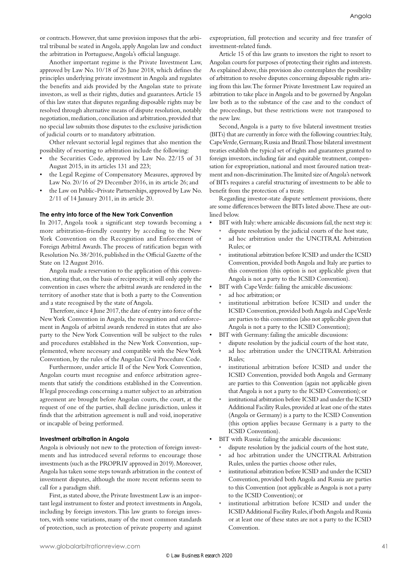or contracts. However, that same provision imposes that the arbitral tribunal be seated in Angola, apply Angolan law and conduct the arbitration in Portuguese, Angola's official language.

Another important regime is the Private Investment Law, approved by Law No. 10/18 of 26 June 2018, which defines the principles underlying private investment in Angola and regulates the benefits and aids provided by the Angolan state to private investors, as well as their rights, duties and guarantees. Article 15 of this law states that disputes regarding disposable rights may be resolved through alternative means of dispute resolution, notably negotiation, mediation, conciliation and arbitration, provided that no special law submits those disputes to the exclusive jurisdiction of judicial courts or to mandatory arbitration.

Other relevant sectorial legal regimes that also mention the possibility of resorting to arbitration include the following:

- the Securities Code, approved by Law No. 22/15 of 31 August 2015, in its articles 131 and 223;
- the Legal Regime of Compensatory Measures, approved by Law No. 20/16 of 29 December 2016, in its article 26; and
- the Law on Public-Private Partnerships, approved by Law No. 2/11 of 14 January 2011, in its article 20.

#### **The entry into force of the New York Convention**

In 2017, Angola took a significant step towards becoming a more arbitration-friendly country by acceding to the New York Convention on the Recognition and Enforcement of Foreign Arbitral Awards. The process of ratification began with Resolution No. 38/2016, published in the Official Gazette of the State on 12 August 2016.

Angola made a reservation to the application of this convention, stating that, on the basis of reciprocity, it will only apply the convention in cases where the arbitral awards are rendered in the territory of another state that is both a party to the Convention and a state recognised by the state of Angola.

Therefore, since 4 June 2017, the date of entry into force of the New York Convention in Angola, the recognition and enforcement in Angola of arbitral awards rendered in states that are also party to the New York Convention will be subject to the rules and procedures established in the New York Convention, supplemented, where necessary and compatible with the New York Convention, by the rules of the Angolan Civil Procedure Code.

Furthermore, under article II of the New York Convention, Angolan courts must recognise and enforce arbitration agreements that satisfy the conditions established in the Convention. If legal proceedings concerning a matter subject to an arbitration agreement are brought before Angolan courts, the court, at the request of one of the parties, shall decline jurisdiction, unless it finds that the arbitration agreement is null and void, inoperative or incapable of being performed.

#### **Investment arbitration in Angola**

Angola is obviously not new to the protection of foreign investments and has introduced several reforms to encourage those investments (such as the PROPRIV approved in 2019). Moreover, Angola has taken some steps towards arbitration in the context of investment disputes, although the more recent reforms seem to call for a paradigm shift.

First, as stated above, the Private Investment Law is an important legal instrument to foster and protect investments in Angola, including by foreign investors. This law grants to foreign investors, with some variations, many of the most common standards of protection, such as protection of private property and against

expropriation, full protection and security and free transfer of investment-related funds.

Article 15 of this law grants to investors the right to resort to Angolan courts for purposes of protecting their rights and interests. As explained above, this provision also contemplates the possibility of arbitration to resolve disputes concerning disposable rights arising from this law. The former Private Investment Law required an arbitration to take place in Angola and to be governed by Angolan law both as to the substance of the case and to the conduct of the proceedings, but these restrictions were not transposed to the new law.

Second, Angola is a party to five bilateral investment treaties (BITs) that are currently in force with the following countries: Italy, Cape Verde, Germany, Russia and Brazil. Those bilateral investment treaties establish the typical set of rights and guarantees granted to foreign investors, including fair and equitable treatment, compensation for expropriation, national and most favoured nation treatment and non-discrimination. The limited size of Angola's network of BITs requires a careful structuring of investments to be able to benefit from the protection of a treaty.

Regarding investor-state dispute settlement provisions, there are some differences between the BITs listed above. These are outlined below.

- BIT with Italy: where amicable discussions fail, the next step is:
	- dispute resolution by the judicial courts of the host state, ad hoc arbitration under the UNCITRAL Arbitration
	- Rules; or
	- institutional arbitration before ICSID and under the ICSID Convention, provided both Angola and Italy are parties to this convention (this option is not applicable given that Angola is not a party to the ICSID Convention).
- BIT with Cape Verde: failing the amicable discussions:
	- ad hoc arbitration; or
	- institutional arbitration before ICSID and under the ICSID Convention, provided both Angola and Cape Verde are parties to this convention (also not applicable given that Angola is not a party to the ICSID Convention);
- BIT with Germany: failing the amicable discussions:
- dispute resolution by the judicial courts of the host state,
- ad hoc arbitration under the UNCITRAL Arbitration  $Rulge$
- institutional arbitration before ICSID and under the ICSID Convention, provided both Angola and Germany are parties to this Convention (again not applicable given that Angola is not a party to the ICSID Convention); or
- institutional arbitration before ICSID and under the ICSID Additional Facility Rules, provided at least one of the states (Angola or Germany) is a party to the ICSID Convention (this option applies because Germany is a party to the ICSID Convention).
- BIT with Russia: failing the amicable discussions:
	- dispute resolution by the judicial courts of the host state,
	- ad hoc arbitration under the UNCITRAL Arbitration Rules, unless the parties choose other rules,
	- institutional arbitration before ICSID and under the ICSID Convention, provided both Angola and Russia are parties to this Convention (not applicable as Angola is not a party to the ICSID Convention); or
	- institutional arbitration before ICSID and under the ICSID Additional Facility Rules, if both Angola and Russia or at least one of these states are not a party to the ICSID Convention.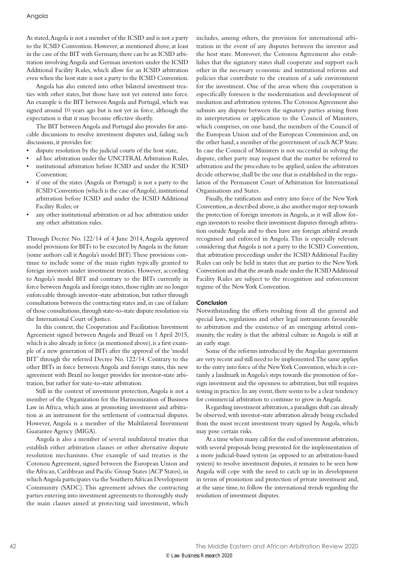As stated, Angola is not a member of the ICSID and is not a party to the ICSID Convention. However, as mentioned above, at least in the case of the BIT with Germany, there can be an ICSID arbitration involving Angola and German investors under the ICSID Additional Facility Rules, which allow for an ICSID arbitration even when the host state is not a party to the ICSID Convention.

Angola has also entered into other bilateral investment treaties with other states, but those have not yet entered into force. An example is the BIT between Angola and Portugal, which was signed around 10 years ago but is not yet in force, although the expectation is that it may become effective shortly.

The BIT between Angola and Portugal also provides for amicable discussions to resolve investment disputes and, failing such discussions, it provides for:

- dispute resolution by the judicial courts of the host state,
- ad hoc arbitration under the UNCITRAL Arbitration Rules,
- institutional arbitration before ICSID and under the ICSID Convention:
- if one of the states (Angola or Portugal) is not a party to the ICSID Convention (which is the case of Angola), institutional arbitration before ICSID and under the ICSID Additional Facility Rules; or
- any other institutional arbitration or ad hoc arbitration under any other arbitration rules.

Through Decree No. 122/14 of 4 June 2014, Angola approved model provisions for BITs to be executed by Angola in the future (some authors call it Angola's model BIT). These provisions continue to include some of the main rights typically granted to foreign investors under investment treaties. However, according to Angola's model BIT and contrary to the BITs currently in force between Angola and foreign states, those rights are no longer enforceable through investor-state arbitration, but rather through consultations between the contracting states and, in case of failure of those consultations, through state-to-state dispute resolution via the International Court of Justice.

In this context, the Cooperation and Facilitation Investment Agreement signed between Angola and Brazil on 1 April 2015, which is also already in force (as mentioned above), is a first example of a new generation of BITs after the approval of the 'model BIT' through the referred Decree No. 122/14. Contrary to the other BITs in force between Angola and foreign states, this new agreement with Brazil no longer provides for investor-state arbitration, but rather for state-to-state arbitration.

Still in the context of investment protection, Angola is not a member of the Organization for the Harmonization of Business Law in Africa, which aims at promoting investment and arbitration as an instrument for the settlement of contractual disputes. However, Angola is a member of the Multilateral Investment Guarantee Agency (MIGA).

Angola is also a member of several multilateral treaties that establish either arbitration clauses or other alternative dispute resolution mechanisms. One example of said treaties is the Cotonou Agreement, signed between the European Union and the African, Caribbean and Pacific Group States (ACP States), in which Angola participates via the Southern African Development Community (SADC). This agreement advises the contracting parties entering into investment agreements to thoroughly study the main clauses aimed at protecting said investment, which

includes, among others, the provision for international arbitration in the event of any disputes between the investor and the host state. Moreover, the Cotonou Agreement also establishes that the signatory states shall cooperate and support each other in the necessary economic and institutional reforms and policies that contribute to the creation of a safe environment for the investment. One of the areas where this cooperation is especifically foreseen is the modernisation and development of mediation and arbitration systems. The Cotonou Agreement also submits any dispute between the signatory parties arising from its interpretation or application to the Council of Ministers, which comprises, on one hand, the members of the Council of the European Union and of the European Commission and, on the other hand, a member of the government of each ACP State. In case the Council of Ministers is not successful in solving the dispute, either party may request that the matter be referred to arbitration and the procedure to be applied, unless the arbitrators decide otherwise, shall be the one that is established in the regulation of the Permanent Court of Arbitration for International Organisations and States.

Finally, the ratification and entry into force of the New York Convention, as described above, is also another major step towards the protection of foreign investors in Angola, as it will allow foreign investors to resolve their investment disputes through arbitration outside Angola and to then have any foreign arbitral awards recognised and enforced in Angola. This is especially relevant considering that Angola is not a party to the ICSID Convention, that arbitration proceedings under the ICSID Additional Facility Rules can only be held in states that are parties to the New York Convention and that the awards made under the ICSID Additional Facility Rules are subject to the recognition and enforcement regime of the New York Convention.

#### **Conclusion**

Notwithstanding the efforts resulting from all the general and special laws, regulations and other legal instruments favourable to arbitration and the existence of an emerging arbitral community, the reality is that the arbitral culture in Angola is still at an early stage.

Some of the reforms introduced by the Angolan government are very recent and still need to be implemented. The same applies to the entry into force of the New York Convention, which is certainly a landmark in Angola's steps towards the promotion of foreign investment and the openness to arbitration, but still requires testing in practice. In any event, there seems to be a clear tendency for commercial arbitration to continue to grow in Angola.

Regarding investment arbitration, a paradigm shift can already be observed, with investor-state arbitration already being excluded from the most recent investment treaty signed by Angola, which may pose certain risks.

At a time when many call for the end of investment arbitration, with several proposals being presented for the implementation of a more judicial-based system (as opposed to an arbitration-based system) to resolve investment disputes, it remains to be seen how Angola will cope with the need to catch up in its development in terms of promotion and protection of private investment and, at the same time, to follow the international trends regarding the resolution of investment disputes.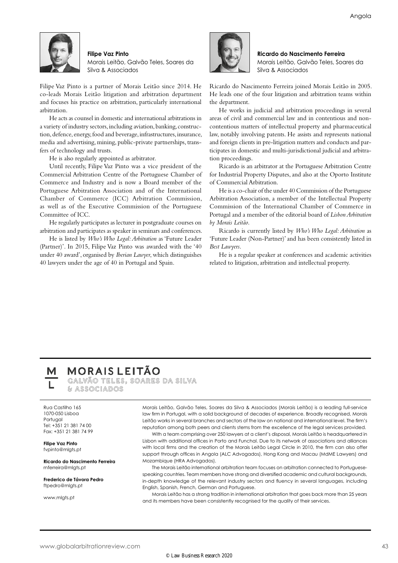

#### **Filipe Vaz Pinto**

Morais Leitão, Galvão Teles, Soares da Silva & Associados

Filipe Vaz Pinto is a partner of Morais Leitão since 2014. He co-leads Morais Leitão litigation and arbitration department and focuses his practice on arbitration, particularly international arbitration.

He acts as counsel in domestic and international arbitrations in a variety of industry sectors, including aviation, banking, construction, defence, energy, food and beverage, infrastructures, insurance, media and advertising, mining, public-private partnerships, transfers of technology and trusts.

He is also regularly appointed as arbitrator.

Until recently, Filipe Vaz Pinto was a vice president of the Commercial Arbitration Centre of the Portuguese Chamber of Commerce and Industry and is now a Board member of the Portuguese Arbitration Association and of the International Chamber of Commerce (ICC) Arbitration Commission, as well as of the Executive Commission of the Portuguese Committee of ICC.

He regularly participates as lecturer in postgraduate courses on arbitration and participates as speaker in seminars and conferences.

He is listed by *Who's Who Legal: Arbitration* as 'Future Leader (Partner)'. In 2015, Filipe Vaz Pinto was awarded with the '40 under 40 award', organised by *Iberian Lawyer*, which distinguishes 40 lawyers under the age of 40 in Portugal and Spain.



**Ricardo do Nascimento Ferreira** Morais Leitão, Galvão Teles, Soares da Silva & Associados

Ricardo do Nascimento Ferreira joined Morais Leitão in 2005. He leads one of the four litigation and arbitration teams within the department.

He works in judicial and arbitration proceedings in several areas of civil and commercial law and in contentious and noncontentious matters of intellectual property and pharmaceutical law, notably involving patents. He assists and represents national and foreign clients in pre-litigation matters and conducts and participates in domestic and multi-jurisdictional judicial and arbitration proceedings.

Ricardo is an arbitrator at the Portuguese Arbitration Centre for Industrial Property Disputes, and also at the Oporto Institute of Commercial Arbitration.

He is a co-chair of the under 40 Commission of the Portuguese Arbitration Association, a member of the Intellectual Property Commission of the International Chamber of Commerce in Portugal and a member of the editorial board of *Lisbon Arbitration by Morais Leitão*.

Ricardo is currently listed by *Who's Who Legal: Arbitration* as 'Future Leader (Non-Partner)' and has been consistently listed in *Best Lawyers*.

He is a regular speaker at conferences and academic activities related to litigation, arbitration and intellectual property.

### **MORAIS LEITÃO**

GALVÃO TELES. SOARES DA SILVA & ASSOCIADOS

Rua Castilho 165 1070-050 Lisboa Portugal Tel: +351 21 381 74 00 Fax: +351 21 381 74 99

**Filipe Vaz Pinto** fvpinto@mlgts.pt

**Ricardo do Nascimento Ferreira** rnferreira@mlats.pt

**Frederico de Távora Pedro** ftpedro@mlgts.pt

www.mlats.pt

Morais Leitão, Galvão Teles, Soares da Silva & Associados (Morais Leitão) is a leading full-service law firm in Portugal, with a solid background of decades of experience. Broadly recognised, Morais Leitão works in several branches and sectors of the law on national and international level. The firm's reputation among both peers and clients stems from the excellence of the legal services provided.

With a team comprising over 250 lawyers at a client's disposal, Morais Leitão is headquartered in Lisbon with additional offices in Porto and Funchal. Due to its network of associations and alliances with local firms and the creation of the Morais Leitão Legal Circle in 2010, the firm can also offer support through offices in Angola (ALC Advogados), Hong Kong and Macau (MdME Lawyers) and Mozambique (HRA Advogados).

The Morais Leitão international arbitration team focuses on arbitration connected to Portuguesespeaking countries. Team members have strong and diversified academic and cultural backgrounds, in-depth knowledge of the relevant industry sectors and fluency in several languages, including English, Spanish, French, German and Portuguese.

Morais Leitão has a strong tradition in international arbitration that goes back more than 25 years and its members have been consistently recognised for the quality of their services.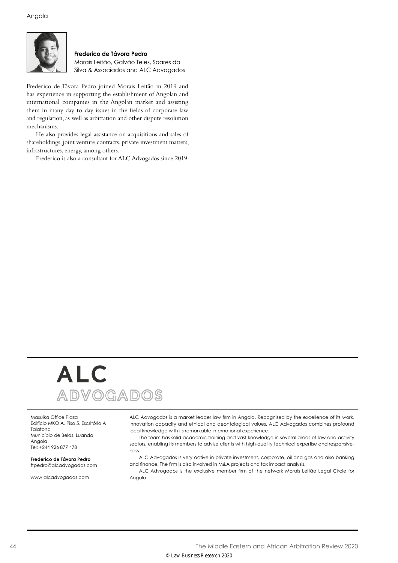

**Frederico de Távora Pedro** Morais Leitão, Galvão Teles, Soares da Silva & Associados and ALC Advogados

Frederico de Távora Pedro joined Morais Leitão in 2019 and has experience in supporting the establishment of Angolan and international companies in the Angolan market and assisting them in many day-to-day issues in the fields of corporate law and regulation, as well as arbitration and other dispute resolution mechanisms.

He also provides legal assistance on acquisitions and sales of shareholdings, joint venture contracts, private investment matters, infrastructures, energy, among others.

Frederico is also a consultant for ALC Advogados since 2019.

# **ALC** ADVOGADOS

Masuika Office Plaza Edifício MKO A, Piso 5, Escritório A Talatona Município de Belas, Luanda Angola Tel: +244 926 877 478

#### **Frederico de Távora Pedro** ftpedro@alcadvogados.com

www.alcadvogados.com

ALC Advogados is a market leader law firm in Angola. Recognised by the excellence of its work, innovation capacity and ethical and deontological values, ALC Advogados combines profound local knowledge with its remarkable international experience.

The team has solid academic training and vast knowledge in several areas of law and activity sectors, enabling its members to advise clients with high-quality technical expertise and responsiveness.

ALC Advogados is very active in private investment, corporate, oil and gas and also banking and finance. The firm is also involved in M&A projects and tax impact analysis.

ALC Advogados is the exclusive member firm of the network Morais Leitão Legal Circle for Angola.